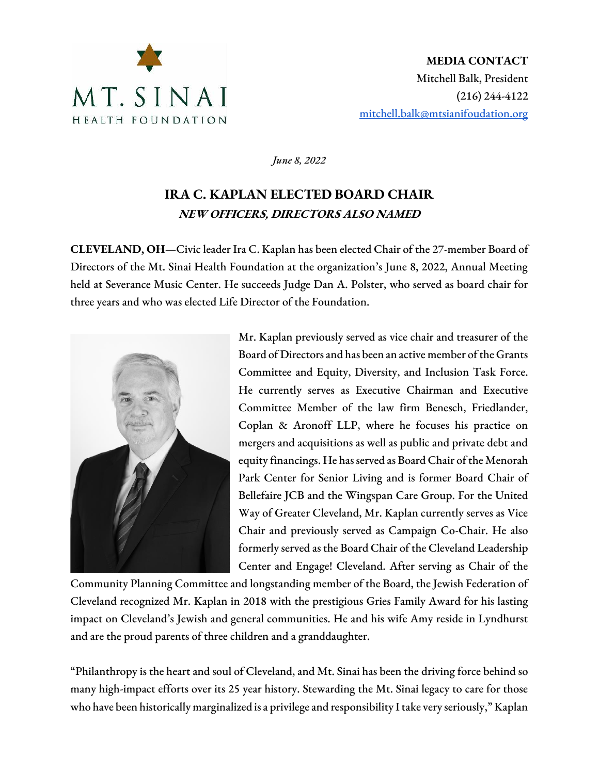

*June 8, 2022*

## **IRA C. KAPLAN ELECTED BOARD CHAIR** NEW OFFICERS, DIRECTORS ALSO NAMED

**CLEVELAND, OH**—Civic leader Ira C. Kaplan has been elected Chair of the 27-member Board of Directors of the Mt. Sinai Health Foundation at the organization's June 8, 2022, Annual Meeting held at Severance Music Center. He succeeds Judge Dan A. Polster, who served as board chair for three years and who was elected Life Director of the Foundation.



Mr. Kaplan previously served as vice chair and treasurer of the Board of Directors and has been an active member of the Grants Committee and Equity, Diversity, and Inclusion Task Force. He currently serves as Executive Chairman and Executive Committee Member of the law firm Benesch, Friedlander, Coplan & Aronoff LLP, where he focuses his practice on mergers and acquisitions as well as public and private debt and equity financings. He has served as Board Chair of the Menorah Park Center for Senior Living and is former Board Chair of Bellefaire JCB and the Wingspan Care Group. For the United Way of Greater Cleveland, Mr. Kaplan currently serves as Vice Chair and previously served as Campaign Co-Chair. He also formerly served as the Board Chair of the Cleveland Leadership Center and Engage! Cleveland. After serving as Chair of the

Community Planning Committee and longstanding member of the Board, the Jewish Federation of Cleveland recognized Mr. Kaplan in 2018 with the prestigious Gries Family Award for his lasting impact on Cleveland's Jewish and general communities. He and his wife Amy reside in Lyndhurst and are the proud parents of three children and a granddaughter.

"Philanthropy is the heart and soul of Cleveland, and Mt. Sinai has been the driving force behind so many high-impact efforts over its 25 year history. Stewarding the Mt. Sinai legacy to care for those who have been historically marginalized is a privilege and responsibility I take very seriously," Kaplan